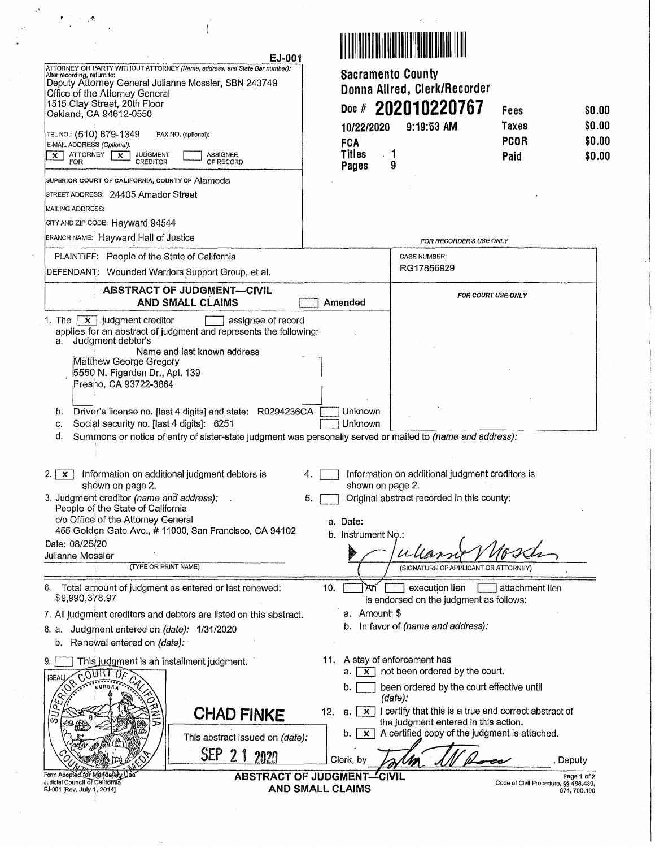|                                                                                                                                                                                                                                                                                                                                                                                                              | EJ-001                                                                                                                                                                                                                                                                       |                                                                                                 |                                                                                                                                                                                                                                          |                                      |                                      |
|--------------------------------------------------------------------------------------------------------------------------------------------------------------------------------------------------------------------------------------------------------------------------------------------------------------------------------------------------------------------------------------------------------------|------------------------------------------------------------------------------------------------------------------------------------------------------------------------------------------------------------------------------------------------------------------------------|-------------------------------------------------------------------------------------------------|------------------------------------------------------------------------------------------------------------------------------------------------------------------------------------------------------------------------------------------|--------------------------------------|--------------------------------------|
| ATTORNEY OR PARTY WITHOUT ATTORNEY (Name, eddress, and State Bar number):<br>After recording, return to:<br>Deputy Attorney General Julianne Mossler, SBN 243749<br>Office of the Attorney General<br>1515 Clay Street, 20th Floor<br>Oakland, CA 94612-0550<br>TEL NO.: (510) 879-1349<br>E-MAIL ADDRESS (Optional):<br>ATTORNEY<br><b>JUDGMENT</b><br>$\times$ 1<br>$\mathsf{x}$<br><b>CREDITOR</b><br>FOR | FAX NO. (optional):<br>ASSIGNEE<br>OF RECORD                                                                                                                                                                                                                                 | <b>Sacramento County</b><br>Doc $#$<br>10/22/2020<br><b>FCA</b><br><b>Titles</b><br>Pages       | Donna Allred, Clerk/Recorder<br>202010220767<br>9:19:53 AM<br>٦<br>9                                                                                                                                                                     | Fees<br>Taxes<br><b>PCOR</b><br>Paid | \$0.00<br>\$0.00<br>\$0.00<br>\$0.00 |
| SUPERIOR COURT OF CALIFORNIA, COUNTY OF Alameda<br>STREET ADDRESS: 24405 Amador Street<br>MAILING ADDRESS:<br>сту AND ZIP CODE: Hayward 94544<br>BRANCH NAME: Hayward Hall of Justice                                                                                                                                                                                                                        |                                                                                                                                                                                                                                                                              |                                                                                                 | FOR RECORDER'S USE ONLY                                                                                                                                                                                                                  |                                      |                                      |
| PLAINTIFF: People of the State of California<br>DEFENDANT: Wounded Warriors Support Group, et al.                                                                                                                                                                                                                                                                                                            |                                                                                                                                                                                                                                                                              |                                                                                                 | <b>CASE NUMBER:</b><br>RG17856929                                                                                                                                                                                                        |                                      |                                      |
| <b>x</b> judgment creditor<br>1. The                                                                                                                                                                                                                                                                                                                                                                         | <b>ABSTRACT OF JUDGMENT-CIVIL</b><br><b>AND SMALL CLAIMS</b><br>assignee of record                                                                                                                                                                                           | Amended                                                                                         |                                                                                                                                                                                                                                          | <b>FOR COURT USE ONLY</b>            |                                      |
| Judgment debtor's<br>a.<br>Matthew George Gregory<br>5550 N. Figarden Dr., Apt. 139<br>Fresno, CA 93722-3864<br>b.<br>Social security no. [last 4 digits]: 6251<br>c,<br>d.                                                                                                                                                                                                                                  | applies for an abstract of judgment and represents the following:<br>Name and last known address<br>Driver's license no. [last 4 digits] and state: R0294236CA<br>Summons or notice of entry of sister-state judgment was personally served or mailed to (name and address): | Unknown<br>Unknown                                                                              |                                                                                                                                                                                                                                          |                                      |                                      |
| 2. I<br>$\mathbf{x}$<br>shown on page 2.<br>3. Judgment creditor (name and address);<br>People of the State of California<br>c/o Office of the Attorney General<br>Date: 08/25/20<br>Julianne Mossler<br>(TYPE OR PRINT NAME)                                                                                                                                                                                | Information on additional judgment debtors is<br>455 Golden Gate Ave., # 11000, San Francisco, CA 94102                                                                                                                                                                      | 4.<br>shown on page 2.<br>5.<br>a. Date:<br>b. Instrument No.:                                  | Information on additional judgment creditors is<br>Original abstract recorded in this county:<br>(SIGNATURE OF APPLICANT OR ATTORNEY)                                                                                                    |                                      |                                      |
| 6.<br>Total amount of judgment as entered or last renewed:<br>\$9,990,378.97<br>8. a. Judgment entered on (date): 1/31/2020<br>Renewal entered on (date):<br>b.                                                                                                                                                                                                                                              | 7. All judgment creditors and debtors are listed on this abstract.                                                                                                                                                                                                           | 10.<br>a. Amount: \$                                                                            | execution lien<br>is endorsed on the judgment as follows:<br>b. In favor of (name and address):                                                                                                                                          | attachment lien                      |                                      |
| 9.<br>This judgment is an installment judgment.<br><b>TAUD.</b><br>[SEAL]<br>$S/\sqrt{2}$                                                                                                                                                                                                                                                                                                                    | <b>CHAD FINKE</b><br>This abstract issued on (date):                                                                                                                                                                                                                         | 11. A stay of enforcement has<br>$\mathsf{x}$<br>a.<br>b.<br>12.<br><b>X</b> 1<br>а.<br>x<br>b. | not been ordered by the court.<br>been ordered by the court effective until<br>(date):<br>I certify that this is a true and correct abstract of<br>the judgment entered in this action.<br>A certified copy of the judgment is attached. |                                      |                                      |
|                                                                                                                                                                                                                                                                                                                                                                                                              | SEP<br>21<br>2020                                                                                                                                                                                                                                                            | Clerk, by                                                                                       |                                                                                                                                                                                                                                          |                                      | , Deputy                             |
| Form Adopted for Mandelo<br>Judicial Council of California<br>EJ-001 [Rev. July 1, 2014]                                                                                                                                                                                                                                                                                                                     |                                                                                                                                                                                                                                                                              | <b>ABSTRACT OF JUDGMENT-CIVIL</b><br>AND SMALL CLAIMS                                           |                                                                                                                                                                                                                                          | Code of Civil Procedure, §§ 488.480, | Page 1 of 2<br>674, 700.190          |

 $\label{eq:Ricci} \begin{array}{c} \mathbf{F}(\mathcal{C}) \leq \sqrt{N} \end{array}$ 

 $\overline{1}$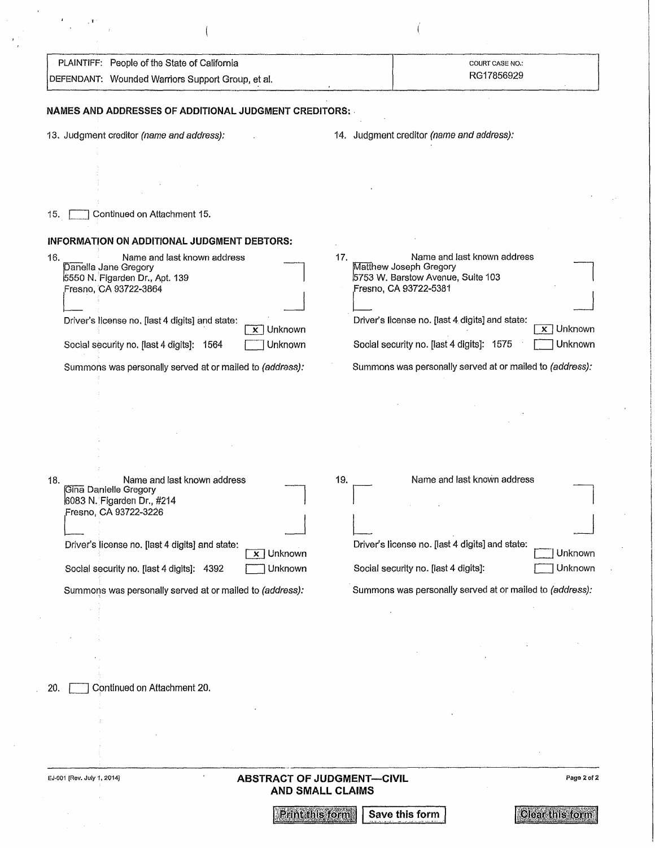| PLAINTIFF: People of the State of California                                                                                                                             | COURT CASE NO.:<br>RG17856929                                                                                                                                                 |
|--------------------------------------------------------------------------------------------------------------------------------------------------------------------------|-------------------------------------------------------------------------------------------------------------------------------------------------------------------------------|
| DEFENDANT: Wounded Warriors Support Group, et al.                                                                                                                        |                                                                                                                                                                               |
| NAMES AND ADDRESSES OF ADDITIONAL JUDGMENT CREDITORS:                                                                                                                    |                                                                                                                                                                               |
| 13. Judgment creditor (name and address):                                                                                                                                | 14. Judgment creditor (name and address):                                                                                                                                     |
|                                                                                                                                                                          |                                                                                                                                                                               |
|                                                                                                                                                                          |                                                                                                                                                                               |
|                                                                                                                                                                          |                                                                                                                                                                               |
| Continued on Attachment 15.<br>15.                                                                                                                                       |                                                                                                                                                                               |
| INFORMATION ON ADDITIONAL JUDGMENT DEBTORS:                                                                                                                              |                                                                                                                                                                               |
| Name and last known address<br>16.<br>Danella Jane Gregory<br>5550 N. Figarden Dr., Apt. 139<br>Fresno, CA 93722-3864<br>Driver's license no. [last 4 digits] and state: | Name and last known address<br>17.<br>Matthew Joseph Gregory<br>5753 W. Barstow Avenue, Suite 103<br>Fresno, CA 93722-5381<br>Driver's license no. [last 4 digits] and state: |
| $\overline{x}$ Unknown<br>Unknown<br>Social security no. [last 4 digits]: 1564                                                                                           | $\overline{x}$ Unknown<br>Unknown<br>Social security no. [last 4 digits]: 1575                                                                                                |
| Summons was personally served at or mailed to (address):                                                                                                                 | Summons was personally served at or mailed to (address):                                                                                                                      |
|                                                                                                                                                                          |                                                                                                                                                                               |
| Name and last known address<br>18.<br>Gina Danielle Gregory<br>6083 N. Figarden Dr., #214<br>Fresno, CA 93722-3226                                                       | Name and last known address<br>19.                                                                                                                                            |
|                                                                                                                                                                          |                                                                                                                                                                               |
| Driver's license no. [last 4 digits] and state:<br>$\overline{x}$ Unknown                                                                                                | Driver's license no. [last 4 digits] and state:<br>Unknown                                                                                                                    |
| Social security no. [last 4 digits]: 4392<br>Unknown                                                                                                                     | Unknown<br>Social security no. [last 4 digits]:                                                                                                                               |
| Summons was personally served at or mailed to (address):                                                                                                                 | Summons was personally served at or mailed to (address):                                                                                                                      |
|                                                                                                                                                                          |                                                                                                                                                                               |
|                                                                                                                                                                          |                                                                                                                                                                               |
|                                                                                                                                                                          |                                                                                                                                                                               |
| Continued on Attachment 20.<br>20.                                                                                                                                       |                                                                                                                                                                               |
|                                                                                                                                                                          |                                                                                                                                                                               |
|                                                                                                                                                                          |                                                                                                                                                                               |
| EJ-001 [Rev. July 1, 2014]                                                                                                                                               | Page 2 of 2                                                                                                                                                                   |
| <b>ABSTRACT OF JUDGMENT-CIVIL</b><br><b>AND SMALL CLAIMS</b>                                                                                                             |                                                                                                                                                                               |
| Print this form                                                                                                                                                          | <b>Clear this form</b><br>Save this form                                                                                                                                      |

 $\mathcal{L}^{\frac{1}{2}}$  .

 $\mathcal{A}^{\pm}$ 

 $\mathcal{F}_{\mathcal{G}}$ 

·'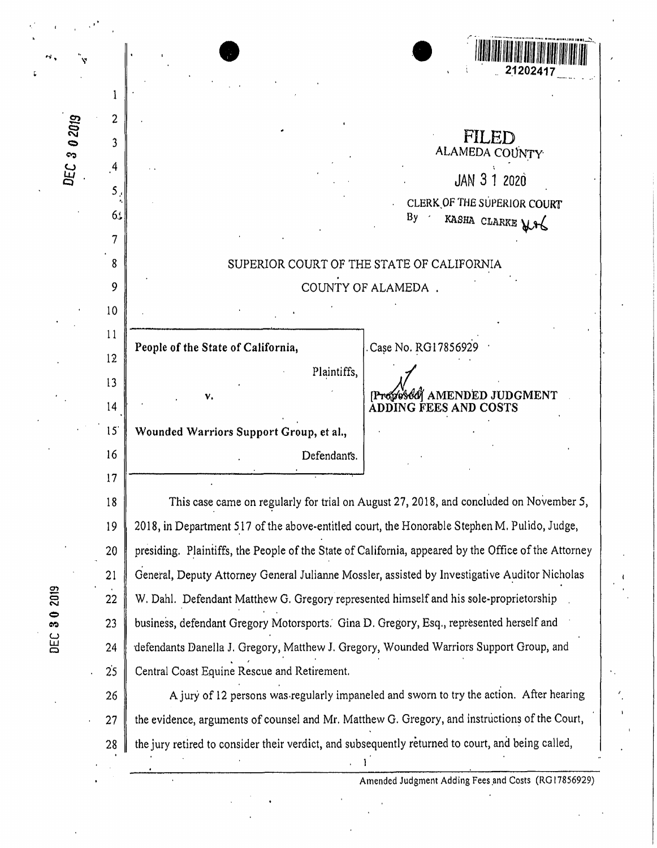| 2<br>3 0 2019<br>3 |                |                                                                                                      |                                                                                         |  |  |
|--------------------|----------------|------------------------------------------------------------------------------------------------------|-----------------------------------------------------------------------------------------|--|--|
|                    |                |                                                                                                      | FILED<br>ALAMEDA COUNTY                                                                 |  |  |
| DEC                | $\overline{4}$ |                                                                                                      | <b>JAN 3 1 2020</b>                                                                     |  |  |
|                    | 5              |                                                                                                      | CLERK OF THE SUPERIOR COURT                                                             |  |  |
|                    | 6.             |                                                                                                      | By<br>KASHA CLARKE MA                                                                   |  |  |
|                    |                |                                                                                                      |                                                                                         |  |  |
|                    | 8              |                                                                                                      | SUPERIOR COURT OF THE STATE OF CALIFORNIA                                               |  |  |
|                    | 9              |                                                                                                      | COUNTY OF ALAMEDA.                                                                      |  |  |
|                    | 10             |                                                                                                      |                                                                                         |  |  |
|                    | 11<br>12       | People of the State of California,                                                                   | Case No. RG17856929                                                                     |  |  |
|                    | 13             | Plaintiffs,                                                                                          |                                                                                         |  |  |
|                    | 14             | ٧.                                                                                                   | Progrosodi AMENDED JUDGMENT<br><b>ADDING FEES AND COSTS</b>                             |  |  |
|                    | 15             | Wounded Warriors Support Group, et al.,                                                              |                                                                                         |  |  |
|                    | 16             | Defendants.                                                                                          |                                                                                         |  |  |
|                    | 17             |                                                                                                      |                                                                                         |  |  |
|                    | 18             | This case came on regularly for trial on August 27, 2018, and concluded on November 5,               |                                                                                         |  |  |
|                    | 19             | 2018, in Department 517 of the above-entitled court, the Honorable Stephen M. Pulido, Judge,         |                                                                                         |  |  |
|                    | 20             | presiding. Plaintiffs, the People of the State of California, appeared by the Office of the Attorney |                                                                                         |  |  |
|                    | 21             | General, Deputy Attorney General Julianne Mossler, assisted by Investigative Auditor Nicholas        |                                                                                         |  |  |
|                    | 22             | W. Dahl. Defendant Matthew G. Gregory represented himself and his sole-proprietorship                |                                                                                         |  |  |
|                    | 23             | business, defendant Gregory Motorsports. Gina D. Gregory, Esq., represented herself and              |                                                                                         |  |  |
|                    | 24             | defendants Danella J. Gregory, Matthew J. Gregory, Wounded Warriors Support Group, and               |                                                                                         |  |  |
|                    | 25             | Central Coast Equine Rescue and Retirement.                                                          |                                                                                         |  |  |
|                    | 26             |                                                                                                      | A jury of 12 persons was regularly impaneled and sworn to try the action. After hearing |  |  |

£

DEC 30 2019

the evidence, arguments of counsel and Mr. Matthew G. Gregory, and instructions of the Court,  $27$ the jury retired to consider their verdict, and subsequently returned to court, and being called, 28

 $\mathbf{1}^{\mathbf{1}}$ 

Amended Judgment Adding Fees and Costs (RG17856929)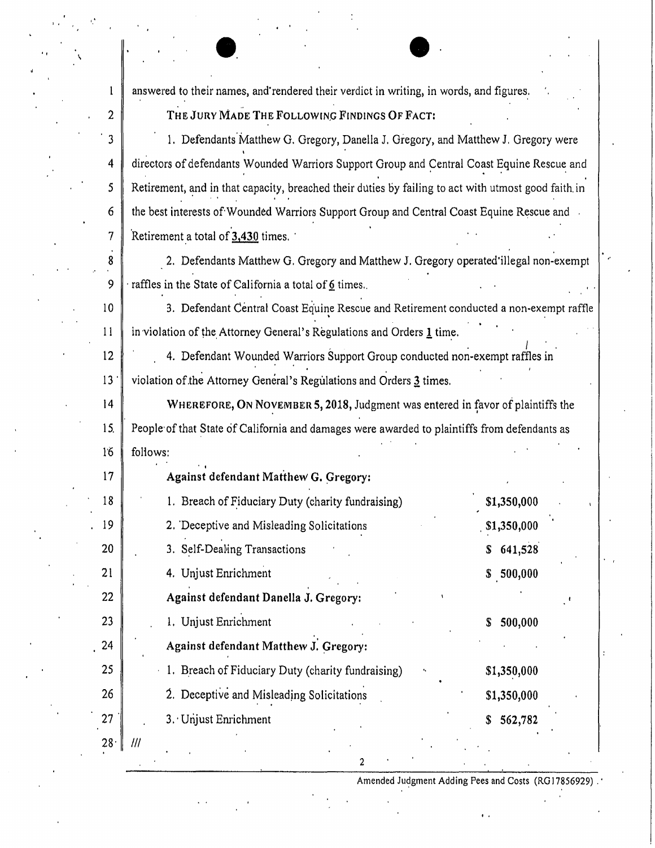answered to their names, and'rendered their verdict in writing, in words, and figures,.

. The same is a set of  $\mathbb{R}^n$ **THE JURY MADE THE FOLLOWING FINDINGS OF FACT:** 

**e.** 

**2** 

 $\mathbf{1}$ 

· 3

4

*5* 

6

7

8

9

10

11

12

13 ·

14

15.

1'6

1. Defendants Matthew G. Gregory, Danella J. Gregory, and Matthew J. Gregory were directors of defendants Wounded Warriors Support Group and Central Coast Equine Rescue and Retirement, and in that capacity, breached their duties by failing to act with utmost good faith in the best interests of Wounded Warriors Support Group and Central Coast Equine Rescue and 'Retirement \_a total of **3,430** times. ·

2. Defendants Matthew G. Gregory and Matthew J. Gregory operated'illegal non-exempt raffles in the State of California a total of 6 times.

3. Defendant Central Coast Equine Rescue and Retirement conducted a non-exempt raffle in violation of the Attorney General's Regulations and Orders  $l$  time.</u>

4. Defendant Wounded Warriors Support Group conducted non-exempt raffles in violation of the Attorney General's Regulations and Orders  $3$  times.

WHEREFORE, ON NOVEMBER 5, 2018, Judgment was entered in favor of plaintiffs the People of that State of California and damages were awarded to plaintiffs from defendants as foliows:

| 17              | Against defendant Matthew G. Gregory:             |               |
|-----------------|---------------------------------------------------|---------------|
| 18              | 1. Breach of Fiduciary Duty (charity fundraising) | \$1,350,000   |
| 19              | 2. Deceptive and Misleading Solicitations         | \$1,350,000   |
| 20              | 3. Self-Dealing Transactions                      | 641,528<br>S  |
| 21              | 4. Unjust Enrichment                              | \$500,000     |
| 22              | Against defendant Danella J. Gregory:             |               |
| 23              | 1. Unjust Enrichment                              | 500,000<br>\$ |
| 24              | Against defendant Matthew J. Gregory:             |               |
| 25              | 1. Breach of Fiduciary Duty (charity fundraising) | \$1,350,000   |
| 26              | 2. Deceptive and Misleading Solicitations         | \$1,350,000   |
| 27              | 3. Unjust Enrichment                              | 562,782<br>\$ |
| 28 <sup>1</sup> | 111                                               |               |

2

Amended Judgment Adding Fees and Costs (RG17856929).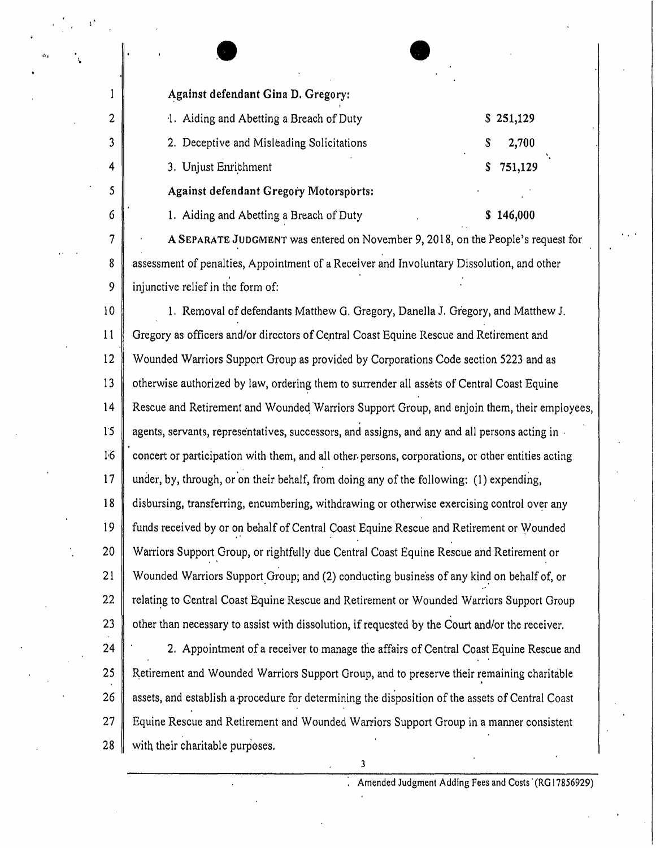$\bullet$ Against defendant Gina D. Gregory:

2

 $\mathbf{1}$ 

3

4

5

6

7

8

9

| 1. Aiding and Abetting a Breach of Duty   |   | \$251,129 |
|-------------------------------------------|---|-----------|
| 2. Deceptive and Misleading Solicitations | S | 2,700     |
| 3. Unjust Enrichment                      |   | \$751,129 |
| Against defendant Gregory Motorsports:    |   |           |
| 1. Aiding and Abetting a Breach of Duty   |   | \$146,000 |
|                                           |   |           |

**A SEPARATE** JUDGMENT was entered on November 9, 2018, on the People's request for assessment of penalties, Appointment of a Receiver and Involuntary Dissolution, and other injunctive relief in the form of:

10 11 12 13 14 1'5 F6 17 **18**  19 20 21 22 23 1. Removal of defendants Matthew G, Gregory, Danella J. Gregory, and Matthew J. Gregory as officers and/or directors of Central Coast Equine Rescue and Retirement and Wounded Warriors Support Group as provided by Corporations Code section 5223 and as otherwise authorized by law, ordering them to surrender all assets of Central Coast Equine Rescue and Retirement and Woundeq Warriors Support Group, and enjoin them, their employees, agents, servants, representatives, successors, and assigns, and any and all persons acting in , concert or participation with them, and all other, persons, corporations, or other entities acting under, by, through, or on their behalf, from doing any of the following:  $(1)$  expending, disbursing, transferring, encumbering, withdrawing or otherwise exercising control over any funds received by or on behalf of Central Coast Equine Rescue and Retirement or Wounded Warriors Support Group, or rightfully due Central Coast Equine Rescue and Retirement or Wounded Warriors Support Group; and (2) conducting business of any kind on behalf of, or relating to Central Coast Equine Rescue and Retirement or Wounded Warriors Support Group other than necessary to assist with dissolution, if requested by the Court and/or the receiver.

24 25 26 27 28 2. Appointment of a receiver to manage the affairs of Central Coast Equine Rescue and Retirement and Wounded Warriors Support Group, and to preserve their remaining charitable assets, and establish a•procedure for determining the disposition of the assets of Central Coast Equine Rescue and Retirement and Wounded Warriors Support Group in a manner consistent with their charitable purposes.

3

Amended Judgment Adding Fees and Costs<sup>'</sup> (RG17856929)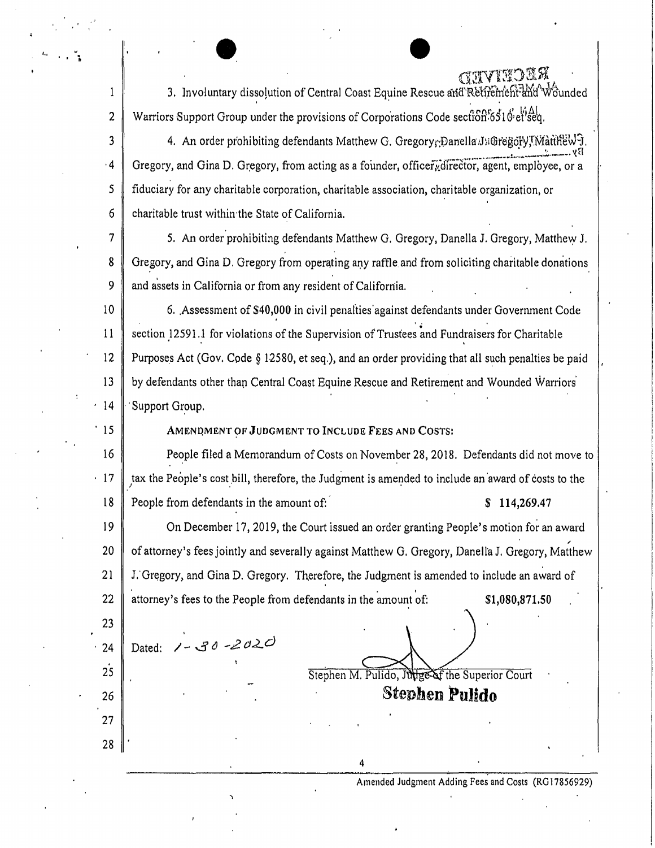3. Involuntary dissolution of Central Coast Equine Rescue and Retirement and Wounded  $\mathbf{1}$ Warriors Support Group under the provisions of Corporations Code section 6510'et'seq.  $\overline{2}$ 

 $\overline{3}$ 4. An order prohibiting defendants Matthew G. Gregory Danella J: Gregory, I. Matthew 9.  $-4$ Gregory, and Gina D. Gregory, from acting as a founder, officery director, agent, employee, or a  $\mathsf{S}$ fiduciary for any charitable corporation, charitable association, charitable organization, or 6 charitable trust within the State of California.

 $7\overline{ }$ 5. An order prohibiting defendants Matthew G. Gregory, Danella J. Gregory, Matthew J. Gregory, and Gina D. Gregory from operating any raffle and from soliciting charitable donations 8 9 and assets in California or from any resident of California.

10 6. Assessment of \$40,000 in civil penalties against defendants under Government Code section 12591.1 for violations of the Supervision of Trustees and Fundraisers for Charitable 11  $12$ Purposes Act (Gov. Code § 12580, et seq.), and an order providing that all such penalties be paid 13 by defendants other than Central Coast Equine Rescue and Retirement and Wounded Warriors  $.14$ Support Group.

 $^{\circ}$  15

23

 $25$ 

26

27

28

AMENDMENT OF JUDGMENT TO INCLUDE FEES AND COSTS:

16 People filed a Memorandum of Costs on November 28, 2018. Defendants did not move to  $\cdot$  17 tax the People's cost bill, therefore, the Judgment is amended to include an award of costs to the People from defendants in the amount of: 18  $$114,269.47$ 

19 On December 17, 2019, the Court issued an order granting People's motion for an award 20 of attorney's fees jointly and severally against Matthew G. Gregory, Danella J. Gregory, Matthew 21 J. Gregory, and Gina D. Gregory. Therefore, the Judgment is amended to include an award of 22 attorney's fees to the People from defendants in the amount of: \$1,080,871.50

Dated:  $1 - 30 - 2020$ 24

Stephen M. Pulido, Julie of the Superior Court

**Stephen Pulido** 

Amended Judgment Adding Fees and Costs (RG17856929)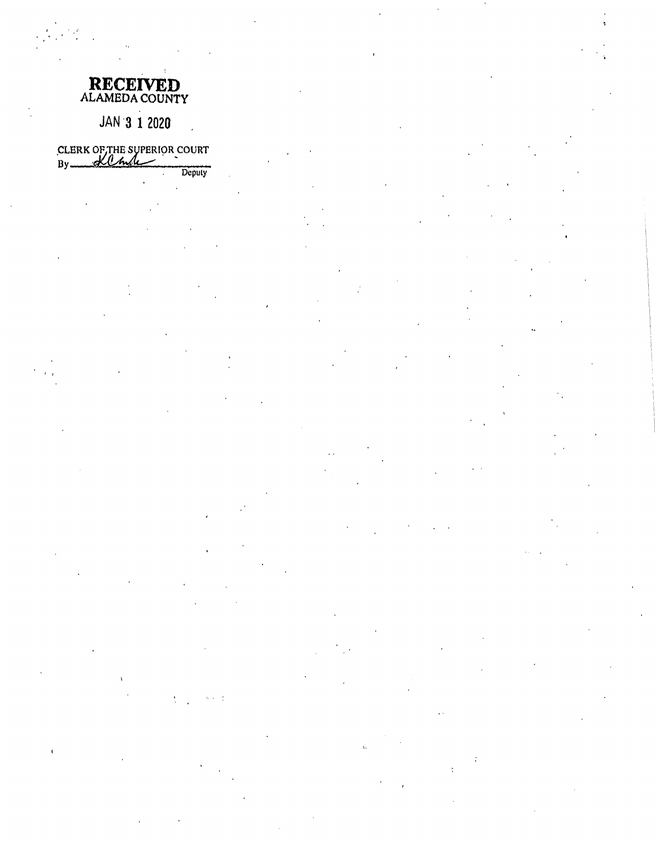| <b>RECEIVED</b> |  |
|-----------------|--|
| ALAMEDA COUNTY  |  |

## JAN 3 1 2020

CLERK OF THE SUPERIOR COURT

Deputy